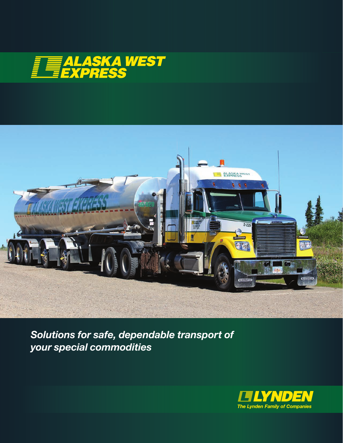



*Solutions for safe, dependable transport of your special commodities*